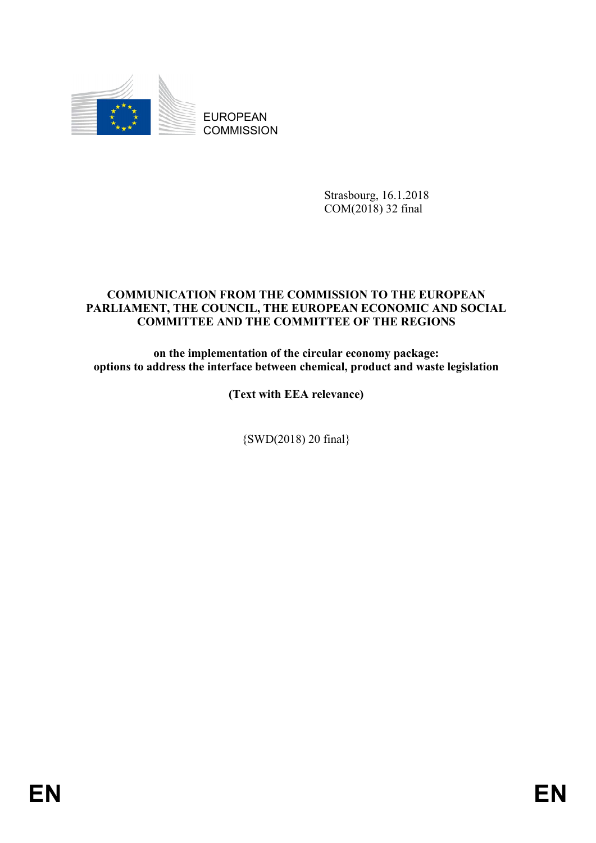

Strasbourg, 16.1.2018 COM(2018) 32 final

# **COMMUNICATION FROM THE COMMISSION TO THE EUROPEAN PARLIAMENT, THE COUNCIL, THE EUROPEAN ECONOMIC AND SOCIAL COMMITTEE AND THE COMMITTEE OF THE REGIONS**

**on the implementation of the circular economy package: options to address the interface between chemical, product and waste legislation** 

**(Text with EEA relevance)** 

{SWD(2018) 20 final}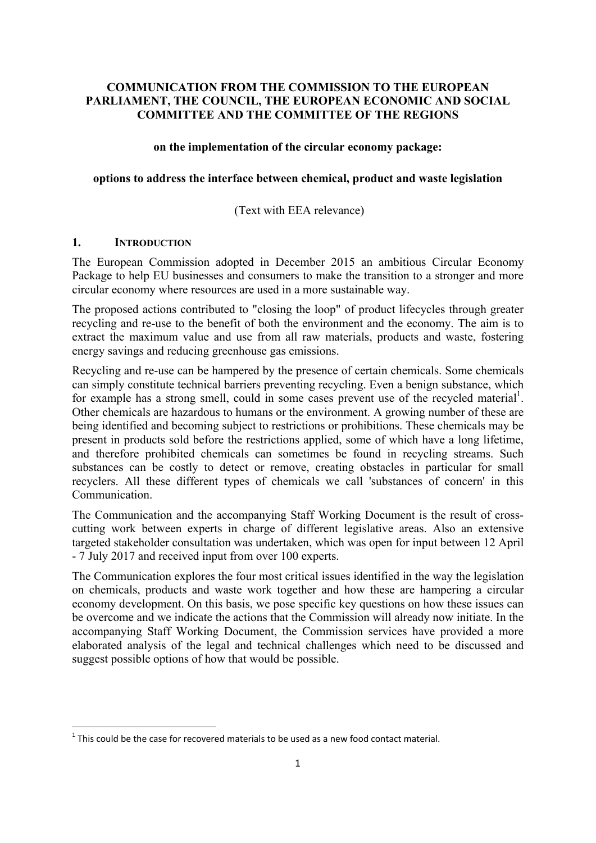### **COMMUNICATION FROM THE COMMISSION TO THE EUROPEAN PARLIAMENT, THE COUNCIL, THE EUROPEAN ECONOMIC AND SOCIAL COMMITTEE AND THE COMMITTEE OF THE REGIONS**

#### **on the implementation of the circular economy package:**

#### **options to address the interface between chemical, product and waste legislation**

### (Text with EEA relevance)

### **1. INTRODUCTION**

**.** 

The European Commission adopted in December 2015 an ambitious Circular Economy Package to help EU businesses and consumers to make the transition to a stronger and more circular economy where resources are used in a more sustainable way.

The proposed actions contributed to "closing the loop" of product lifecycles through greater recycling and re-use to the benefit of both the environment and the economy. The aim is to extract the maximum value and use from all raw materials, products and waste, fostering energy savings and reducing greenhouse gas emissions.

Recycling and re-use can be hampered by the presence of certain chemicals. Some chemicals can simply constitute technical barriers preventing recycling. Even a benign substance, which for example has a strong smell, could in some cases prevent use of the recycled material<sup>1</sup>. Other chemicals are hazardous to humans or the environment. A growing number of these are being identified and becoming subject to restrictions or prohibitions. These chemicals may be present in products sold before the restrictions applied, some of which have a long lifetime, and therefore prohibited chemicals can sometimes be found in recycling streams. Such substances can be costly to detect or remove, creating obstacles in particular for small recyclers. All these different types of chemicals we call 'substances of concern' in this Communication.

The Communication and the accompanying Staff Working Document is the result of crosscutting work between experts in charge of different legislative areas. Also an extensive targeted stakeholder consultation was undertaken, which was open for input between 12 April - 7 July 2017 and received input from over 100 experts.

The Communication explores the four most critical issues identified in the way the legislation on chemicals, products and waste work together and how these are hampering a circular economy development. On this basis, we pose specific key questions on how these issues can be overcome and we indicate the actions that the Commission will already now initiate. In the accompanying Staff Working Document, the Commission services have provided a more elaborated analysis of the legal and technical challenges which need to be discussed and suggest possible options of how that would be possible.

 $1$  This could be the case for recovered materials to be used as a new food contact material.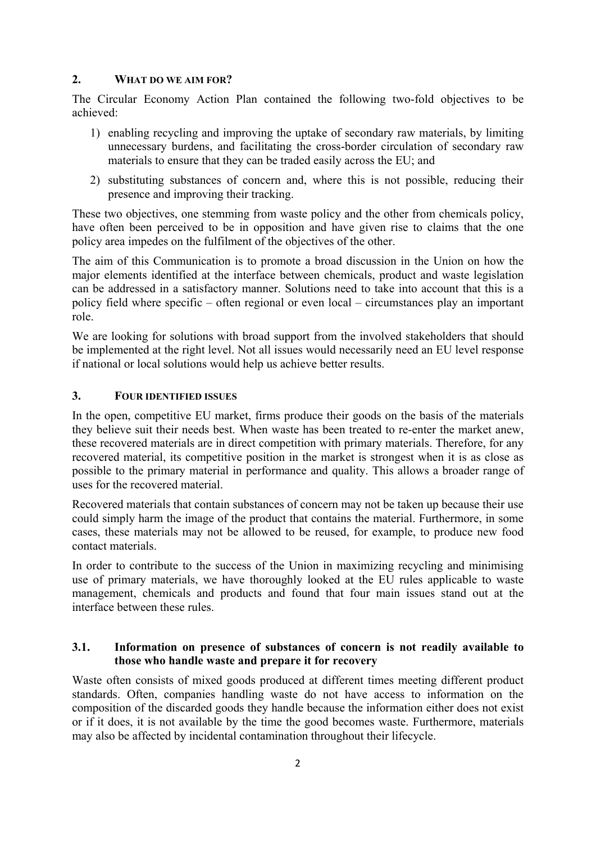### **2. WHAT DO WE AIM FOR?**

The Circular Economy Action Plan contained the following two-fold objectives to be achieved:

- 1) enabling recycling and improving the uptake of secondary raw materials, by limiting unnecessary burdens, and facilitating the cross-border circulation of secondary raw materials to ensure that they can be traded easily across the EU; and
- 2) substituting substances of concern and, where this is not possible, reducing their presence and improving their tracking.

These two objectives, one stemming from waste policy and the other from chemicals policy, have often been perceived to be in opposition and have given rise to claims that the one policy area impedes on the fulfilment of the objectives of the other.

The aim of this Communication is to promote a broad discussion in the Union on how the major elements identified at the interface between chemicals, product and waste legislation can be addressed in a satisfactory manner. Solutions need to take into account that this is a policy field where specific – often regional or even local – circumstances play an important role.

We are looking for solutions with broad support from the involved stakeholders that should be implemented at the right level. Not all issues would necessarily need an EU level response if national or local solutions would help us achieve better results.

### **3. FOUR IDENTIFIED ISSUES**

In the open, competitive EU market, firms produce their goods on the basis of the materials they believe suit their needs best. When waste has been treated to re-enter the market anew, these recovered materials are in direct competition with primary materials. Therefore, for any recovered material, its competitive position in the market is strongest when it is as close as possible to the primary material in performance and quality. This allows a broader range of uses for the recovered material.

Recovered materials that contain substances of concern may not be taken up because their use could simply harm the image of the product that contains the material. Furthermore, in some cases, these materials may not be allowed to be reused, for example, to produce new food contact materials.

In order to contribute to the success of the Union in maximizing recycling and minimising use of primary materials, we have thoroughly looked at the EU rules applicable to waste management, chemicals and products and found that four main issues stand out at the interface between these rules.

### **3.1. Information on presence of substances of concern is not readily available to those who handle waste and prepare it for recovery**

Waste often consists of mixed goods produced at different times meeting different product standards. Often, companies handling waste do not have access to information on the composition of the discarded goods they handle because the information either does not exist or if it does, it is not available by the time the good becomes waste. Furthermore, materials may also be affected by incidental contamination throughout their lifecycle.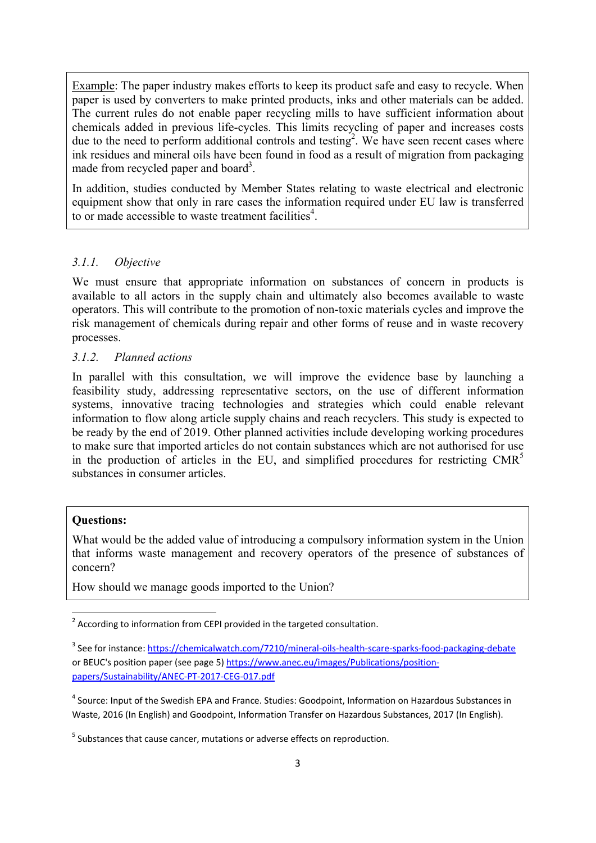Example: The paper industry makes efforts to keep its product safe and easy to recycle. When paper is used by converters to make printed products, inks and other materials can be added. The current rules do not enable paper recycling mills to have sufficient information about chemicals added in previous life-cycles. This limits recycling of paper and increases costs due to the need to perform additional controls and testing<sup>2</sup>. We have seen recent cases where ink residues and mineral oils have been found in food as a result of migration from packaging made from recycled paper and board<sup>3</sup>.

In addition, studies conducted by Member States relating to waste electrical and electronic equipment show that only in rare cases the information required under EU law is transferred to or made accessible to waste treatment facilities<sup>4</sup>.

### *3.1.1. Objective*

We must ensure that appropriate information on substances of concern in products is available to all actors in the supply chain and ultimately also becomes available to waste operators. This will contribute to the promotion of non-toxic materials cycles and improve the risk management of chemicals during repair and other forms of reuse and in waste recovery processes.

### *3.1.2. Planned actions*

In parallel with this consultation, we will improve the evidence base by launching a feasibility study, addressing representative sectors, on the use of different information systems, innovative tracing technologies and strategies which could enable relevant information to flow along article supply chains and reach recyclers. This study is expected to be ready by the end of 2019. Other planned activities include developing working procedures to make sure that imported articles do not contain substances which are not authorised for use in the production of articles in the EU, and simplified procedures for restricting  $CMR<sup>5</sup>$ substances in consumer articles.

#### **Questions:**

What would be the added value of introducing a compulsory information system in the Union that informs waste management and recovery operators of the presence of substances of concern?

How should we manage goods imported to the Union?

**THE CONSTRET 2**<br>The cording to information from CEPI provided in the targeted consultation.

<sup>&</sup>lt;sup>3</sup> See for instance[: https://chemicalwatch.com/](https://chemicalwatch.com/7210/mineral-oils-health-scare-sparks-food-packaging-debate)7210/mineral-oils-health-scare-sparks-food-packaging-debate or BEUC's position paper (see page 5) [https://www.anec.eu/images/Publications/position](https://www.anec.eu/images/Publications/position-papers/Sustainability/ANEC-PT-2017-CEG-017.pdf)[papers/Sustainability/ANEC-PT-2017-CEG-017.pdf](https://www.anec.eu/images/Publications/position-papers/Sustainability/ANEC-PT-2017-CEG-017.pdf) 

<sup>&</sup>lt;sup>4</sup> Source: Input of the Swedish EPA and France. Studies: Goodpoint, Information on Hazardous Substances in Waste, 2016 (In English) and Goodpoint, Information Transfer on Hazardous Substances, 2017 (In English).

<sup>&</sup>lt;sup>5</sup> Substances that cause cancer, mutations or adverse effects on reproduction.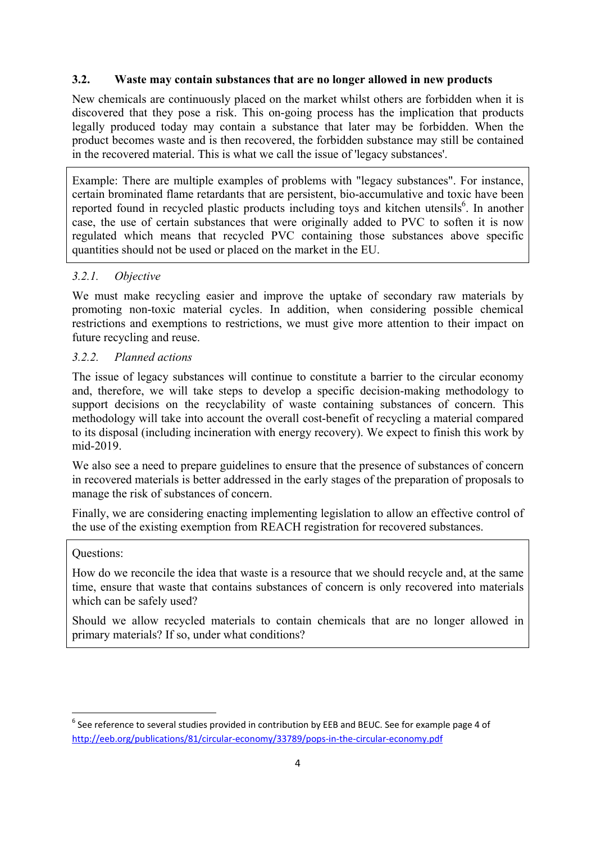## **3.2. Waste may contain substances that are no longer allowed in new products**

New chemicals are continuously placed on the market whilst others are forbidden when it is discovered that they pose a risk. This on-going process has the implication that products legally produced today may contain a substance that later may be forbidden. When the product becomes waste and is then recovered, the forbidden substance may still be contained in the recovered material. This is what we call the issue of 'legacy substances'.

Example: There are multiple examples of problems with "legacy substances". For instance, certain brominated flame retardants that are persistent, bio-accumulative and toxic have been reported found in recycled plastic products including toys and kitchen utensils<sup>6</sup>. In another case, the use of certain substances that were originally added to PVC to soften it is now regulated which means that recycled PVC containing those substances above specific quantities should not be used or placed on the market in the EU.

# *3.2.1. Objective*

We must make recycling easier and improve the uptake of secondary raw materials by promoting non-toxic material cycles. In addition, when considering possible chemical restrictions and exemptions to restrictions, we must give more attention to their impact on future recycling and reuse.

## *3.2.2. Planned actions*

The issue of legacy substances will continue to constitute a barrier to the circular economy and, therefore, we will take steps to develop a specific decision-making methodology to support decisions on the recyclability of waste containing substances of concern. This methodology will take into account the overall cost-benefit of recycling a material compared to its disposal (including incineration with energy recovery). We expect to finish this work by mid-2019.

We also see a need to prepare guidelines to ensure that the presence of substances of concern in recovered materials is better addressed in the early stages of the preparation of proposals to manage the risk of substances of concern.

Finally, we are considering enacting implementing legislation to allow an effective control of the use of the existing exemption from REACH registration for recovered substances.

### Questions:

How do we reconcile the idea that waste is a resource that we should recycle and, at the same time, ensure that waste that contains substances of concern is only recovered into materials which can be safely used?

Should we allow recycled materials to contain chemicals that are no longer allowed in primary materials? If so, under what conditions?

 6 See reference to several studies provided in contribution by EEB and BEUC. See for example page 4 of <http://eeb.org/publications/81/circular-economy/33789/pops-in-the-circular-economy.pdf>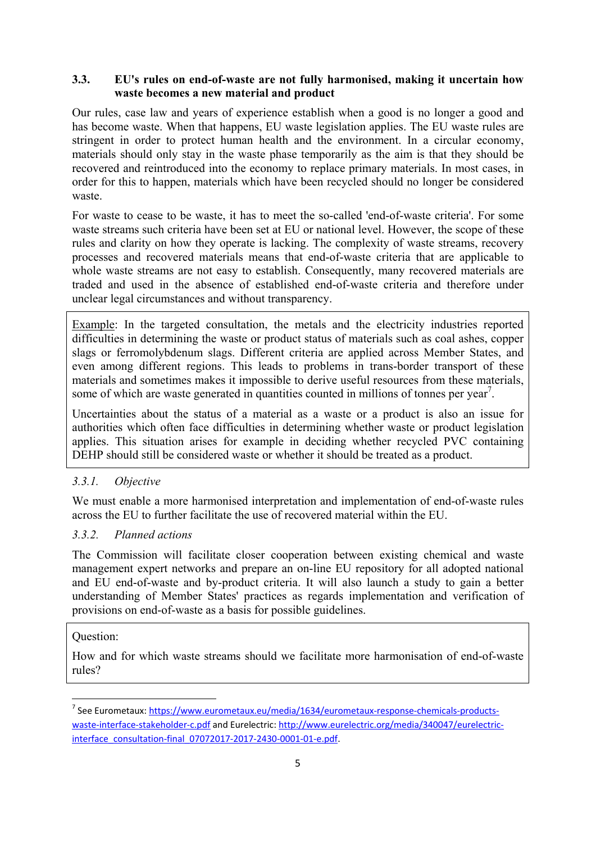## **3.3. EU's rules on end-of-waste are not fully harmonised, making it uncertain how waste becomes a new material and product**

Our rules, case law and years of experience establish when a good is no longer a good and has become waste. When that happens, EU waste legislation applies. The EU waste rules are stringent in order to protect human health and the environment. In a circular economy, materials should only stay in the waste phase temporarily as the aim is that they should be recovered and reintroduced into the economy to replace primary materials. In most cases, in order for this to happen, materials which have been recycled should no longer be considered waste.

For waste to cease to be waste, it has to meet the so-called 'end-of-waste criteria'. For some waste streams such criteria have been set at EU or national level. However, the scope of these rules and clarity on how they operate is lacking. The complexity of waste streams, recovery processes and recovered materials means that end-of-waste criteria that are applicable to whole waste streams are not easy to establish. Consequently, many recovered materials are traded and used in the absence of established end-of-waste criteria and therefore under unclear legal circumstances and without transparency.

Example: In the targeted consultation, the metals and the electricity industries reported difficulties in determining the waste or product status of materials such as coal ashes, copper slags or ferromolybdenum slags. Different criteria are applied across Member States, and even among different regions. This leads to problems in trans-border transport of these materials and sometimes makes it impossible to derive useful resources from these materials, some of which are waste generated in quantities counted in millions of tonnes per year<sup>7</sup>.

Uncertainties about the status of a material as a waste or a product is also an issue for authorities which often face difficulties in determining whether waste or product legislation applies. This situation arises for example in deciding whether recycled PVC containing DEHP should still be considered waste or whether it should be treated as a product.

# *3.3.1. Objective*

We must enable a more harmonised interpretation and implementation of end-of-waste rules across the EU to further facilitate the use of recovered material within the EU.

### *3.3.2. Planned actions*

The Commission will facilitate closer cooperation between existing chemical and waste management expert networks and prepare an on-line EU repository for all adopted national and EU end-of-waste and by-product criteria. It will also launch a study to gain a better understanding of Member States' practices as regards implementation and verification of provisions on end-of-waste as a basis for possible guidelines.

### Question:

How and for which waste streams should we facilitate more harmonisation of end-of-waste rules?

 7 See Eurometaux: https://www.eurometaux.eu/media/1634/eurometaux-response-chemicals-products[waste-interface-stakeholder-c.pdf a](https://www.eurometaux.eu/media/1634/eurometaux-response-chemicals-products-waste-interface-stakeholder-c.pdf)nd Eurelectric[: http://www.eurelectric.org/media/340047/eurelectric](http://www.eurelectric.org/media/340047/eurelectric-interface_consultation-final_07072017-2017-2430-0001-01-e.pdf)[interface\\_consultation-final\\_07072017-2017-2430-0001-01-e.pdf.](http://www.eurelectric.org/media/340047/eurelectric-interface_consultation-final_07072017-2017-2430-0001-01-e.pdf)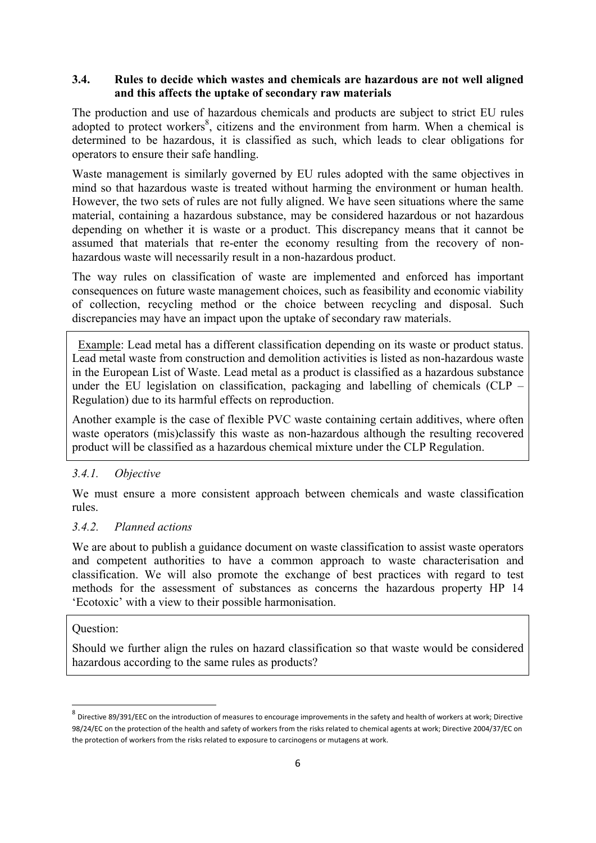## **3.4. Rules to decide which wastes and chemicals are hazardous are not well aligned and this affects the uptake of secondary raw materials**

The production and use of hazardous chemicals and products are subject to strict EU rules adopted to protect workers $\delta$ , citizens and the environment from harm. When a chemical is determined to be hazardous, it is classified as such, which leads to clear obligations for operators to ensure their safe handling.

Waste management is similarly governed by EU rules adopted with the same objectives in mind so that hazardous waste is treated without harming the environment or human health. However, the two sets of rules are not fully aligned. We have seen situations where the same material, containing a hazardous substance, may be considered hazardous or not hazardous depending on whether it is waste or a product. This discrepancy means that it cannot be assumed that materials that re-enter the economy resulting from the recovery of nonhazardous waste will necessarily result in a non-hazardous product.

The way rules on classification of waste are implemented and enforced has important consequences on future waste management choices, such as feasibility and economic viability of collection, recycling method or the choice between recycling and disposal. Such discrepancies may have an impact upon the uptake of secondary raw materials.

 Example: Lead metal has a different classification depending on its waste or product status. Lead metal waste from construction and demolition activities is listed as non-hazardous waste in the European List of Waste. Lead metal as a product is classified as a hazardous substance under the EU legislation on classification, packaging and labelling of chemicals (CLP – Regulation) due to its harmful effects on reproduction.

Another example is the case of flexible PVC waste containing certain additives, where often waste operators (mis)classify this waste as non-hazardous although the resulting recovered product will be classified as a hazardous chemical mixture under the CLP Regulation.

# *3.4.1. Objective*

We must ensure a more consistent approach between chemicals and waste classification rules.

# *3.4.2. Planned actions*

We are about to publish a guidance document on waste classification to assist waste operators and competent authorities to have a common approach to waste characterisation and classification. We will also promote the exchange of best practices with regard to test methods for the assessment of substances as concerns the hazardous property HP 14 'Ecotoxic' with a view to their possible harmonisation.

### Question:

**.** 

Should we further align the rules on hazard classification so that waste would be considered hazardous according to the same rules as products?

<sup>8</sup> Directive 89/391/EEC on the introduction of measures to encourage improvements in the safety and health of workers at work; Directive 98/24/EC on the protection of the health and safety of workers from the risks related to chemical agents at work; Directive 2004/37/EC on the protection of workers from the risks related to exposure to carcinogens or mutagens at work.